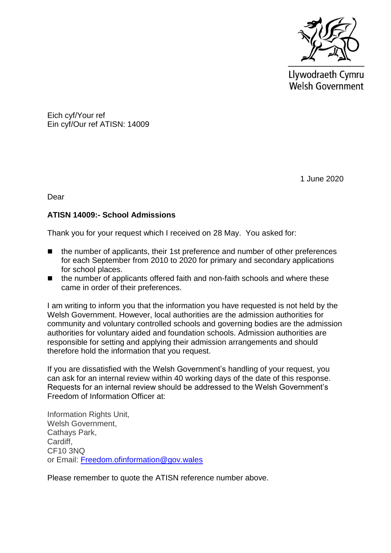

Llywodraeth Cymru **Welsh Government** 

Eich cyf/Your ref Ein cyf/Our ref ATISN: 14009

1 June 2020

Dear

## **ATISN 14009:- School Admissions**

Thank you for your request which I received on 28 May. You asked for:

- the number of applicants, their 1st preference and number of other preferences for each September from 2010 to 2020 for primary and secondary applications for school places.
- the number of applicants offered faith and non-faith schools and where these came in order of their preferences.

I am writing to inform you that the information you have requested is not held by the Welsh Government. However, local authorities are the admission authorities for community and voluntary controlled schools and governing bodies are the admission authorities for voluntary aided and foundation schools. Admission authorities are responsible for setting and applying their admission arrangements and should therefore hold the information that you request.

If you are dissatisfied with the Welsh Government's handling of your request, you can ask for an internal review within 40 working days of the date of this response. Requests for an internal review should be addressed to the Welsh Government's Freedom of Information Officer at:

Information Rights Unit, Welsh Government, Cathays Park, Cardiff, CF10 3NQ or Email: [Freedom.ofinformation@gov.wales](mailto:Freedom.ofinformation@gov.wales)

Please remember to quote the ATISN reference number above.